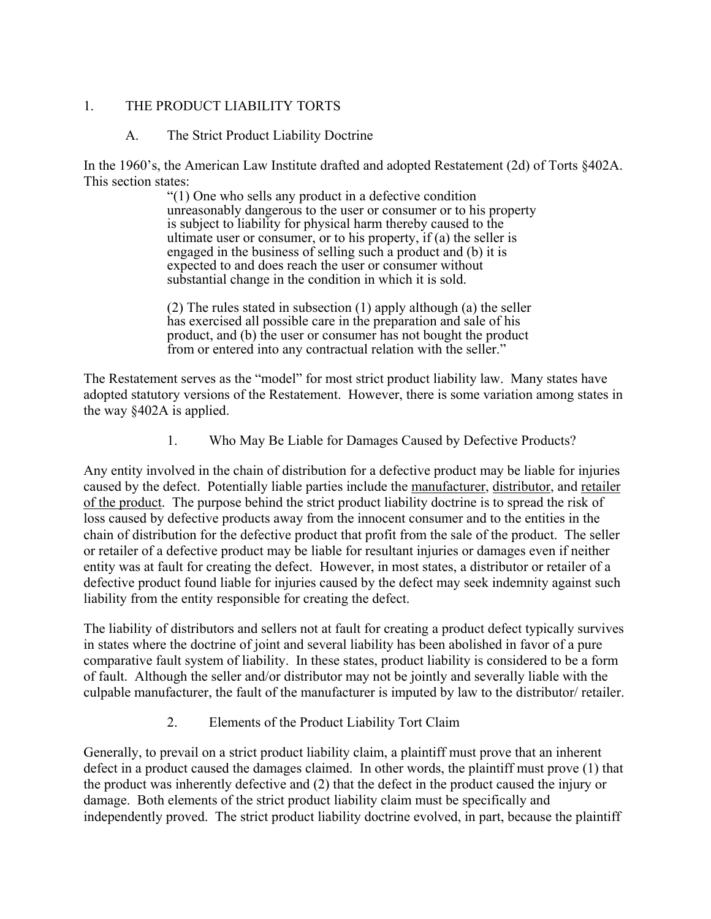# 1. THE PRODUCT LIABILITY TORTS

# A. The Strict Product Liability Doctrine

In the 1960's, the American Law Institute drafted and adopted Restatement (2d) of Torts §402A. This section states:

"(1) One who sells any product in a defective condition unreasonably dangerous to the user or consumer or to his property is subject to liability for physical harm thereby caused to the ultimate user or consumer, or to his property, if (a) the seller is engaged in the business of selling such a product and (b) it is expected to and does reach the user or consumer without substantial change in the condition in which it is sold.

(2) The rules stated in subsection (1) apply although (a) the seller has exercised all possible care in the preparation and sale of his product, and (b) the user or consumer has not bought the product from or entered into any contractual relation with the seller."

The Restatement serves as the "model" for most strict product liability law. Many states have adopted statutory versions of the Restatement. However, there is some variation among states in the way §402A is applied.

1. Who May Be Liable for Damages Caused by Defective Products?

Any entity involved in the chain of distribution for a defective product may be liable for injuries caused by the defect. Potentially liable parties include the manufacturer, distributor, and retailer of the product. The purpose behind the strict product liability doctrine is to spread the risk of loss caused by defective products away from the innocent consumer and to the entities in the chain of distribution for the defective product that profit from the sale of the product. The seller or retailer of a defective product may be liable for resultant injuries or damages even if neither entity was at fault for creating the defect. However, in most states, a distributor or retailer of a defective product found liable for injuries caused by the defect may seek indemnity against such liability from the entity responsible for creating the defect.

The liability of distributors and sellers not at fault for creating a product defect typically survives in states where the doctrine of joint and several liability has been abolished in favor of a pure comparative fault system of liability. In these states, product liability is considered to be a form of fault. Although the seller and/or distributor may not be jointly and severally liable with the culpable manufacturer, the fault of the manufacturer is imputed by law to the distributor/ retailer.

2. Elements of the Product Liability Tort Claim

Generally, to prevail on a strict product liability claim, a plaintiff must prove that an inherent defect in a product caused the damages claimed. In other words, the plaintiff must prove (1) that the product was inherently defective and (2) that the defect in the product caused the injury or damage. Both elements of the strict product liability claim must be specifically and independently proved. The strict product liability doctrine evolved, in part, because the plaintiff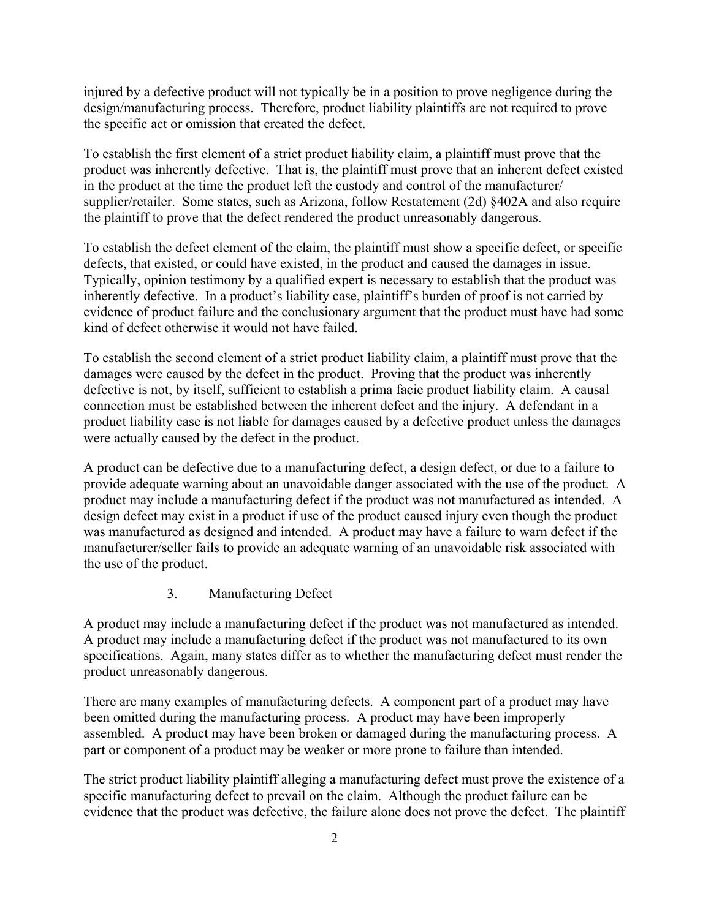injured by a defective product will not typically be in a position to prove negligence during the design/manufacturing process. Therefore, product liability plaintiffs are not required to prove the specific act or omission that created the defect.

To establish the first element of a strict product liability claim, a plaintiff must prove that the product was inherently defective. That is, the plaintiff must prove that an inherent defect existed in the product at the time the product left the custody and control of the manufacturer/ supplier/retailer. Some states, such as Arizona, follow Restatement (2d) §402A and also require the plaintiff to prove that the defect rendered the product unreasonably dangerous.

To establish the defect element of the claim, the plaintiff must show a specific defect, or specific defects, that existed, or could have existed, in the product and caused the damages in issue. Typically, opinion testimony by a qualified expert is necessary to establish that the product was inherently defective. In a product's liability case, plaintiff's burden of proof is not carried by evidence of product failure and the conclusionary argument that the product must have had some kind of defect otherwise it would not have failed.

To establish the second element of a strict product liability claim, a plaintiff must prove that the damages were caused by the defect in the product. Proving that the product was inherently defective is not, by itself, sufficient to establish a prima facie product liability claim. A causal connection must be established between the inherent defect and the injury. A defendant in a product liability case is not liable for damages caused by a defective product unless the damages were actually caused by the defect in the product.

A product can be defective due to a manufacturing defect, a design defect, or due to a failure to provide adequate warning about an unavoidable danger associated with the use of the product. A product may include a manufacturing defect if the product was not manufactured as intended. A design defect may exist in a product if use of the product caused injury even though the product was manufactured as designed and intended. A product may have a failure to warn defect if the manufacturer/seller fails to provide an adequate warning of an unavoidable risk associated with the use of the product.

## 3. Manufacturing Defect

A product may include a manufacturing defect if the product was not manufactured as intended. A product may include a manufacturing defect if the product was not manufactured to its own specifications. Again, many states differ as to whether the manufacturing defect must render the product unreasonably dangerous.

There are many examples of manufacturing defects. A component part of a product may have been omitted during the manufacturing process. A product may have been improperly assembled. A product may have been broken or damaged during the manufacturing process. A part or component of a product may be weaker or more prone to failure than intended.

The strict product liability plaintiff alleging a manufacturing defect must prove the existence of a specific manufacturing defect to prevail on the claim. Although the product failure can be evidence that the product was defective, the failure alone does not prove the defect. The plaintiff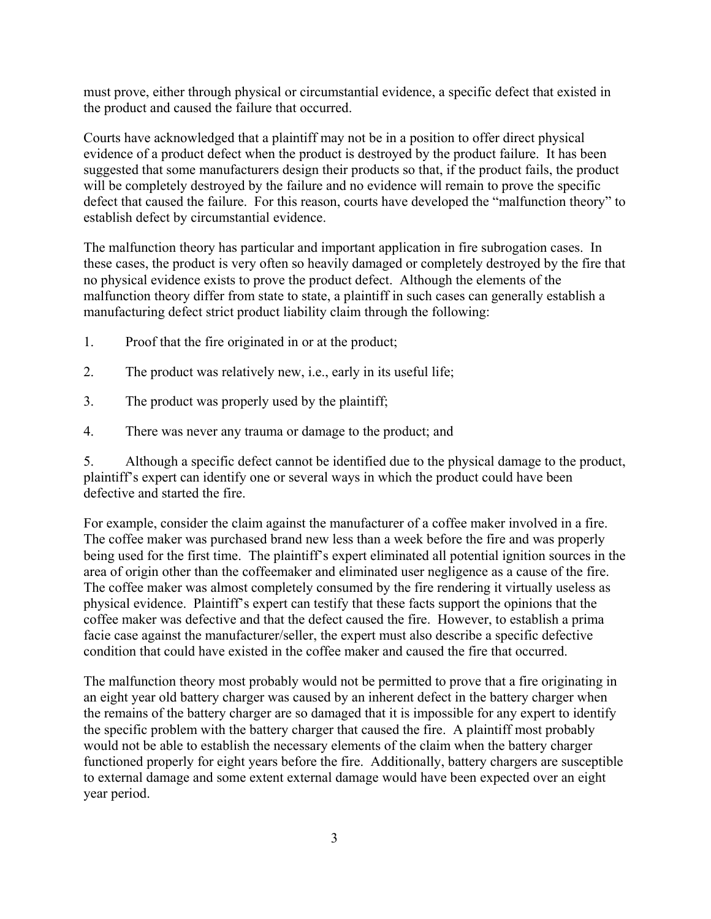must prove, either through physical or circumstantial evidence, a specific defect that existed in the product and caused the failure that occurred.

Courts have acknowledged that a plaintiff may not be in a position to offer direct physical evidence of a product defect when the product is destroyed by the product failure. It has been suggested that some manufacturers design their products so that, if the product fails, the product will be completely destroyed by the failure and no evidence will remain to prove the specific defect that caused the failure. For this reason, courts have developed the "malfunction theory" to establish defect by circumstantial evidence.

The malfunction theory has particular and important application in fire subrogation cases. In these cases, the product is very often so heavily damaged or completely destroyed by the fire that no physical evidence exists to prove the product defect. Although the elements of the malfunction theory differ from state to state, a plaintiff in such cases can generally establish a manufacturing defect strict product liability claim through the following:

- 1. Proof that the fire originated in or at the product;
- 2. The product was relatively new, i.e., early in its useful life;
- 3. The product was properly used by the plaintiff;
- 4. There was never any trauma or damage to the product; and

5. Although a specific defect cannot be identified due to the physical damage to the product, plaintiff's expert can identify one or several ways in which the product could have been defective and started the fire.

For example, consider the claim against the manufacturer of a coffee maker involved in a fire. The coffee maker was purchased brand new less than a week before the fire and was properly being used for the first time. The plaintiff's expert eliminated all potential ignition sources in the area of origin other than the coffeemaker and eliminated user negligence as a cause of the fire. The coffee maker was almost completely consumed by the fire rendering it virtually useless as physical evidence. Plaintiff's expert can testify that these facts support the opinions that the coffee maker was defective and that the defect caused the fire. However, to establish a prima facie case against the manufacturer/seller, the expert must also describe a specific defective condition that could have existed in the coffee maker and caused the fire that occurred.

The malfunction theory most probably would not be permitted to prove that a fire originating in an eight year old battery charger was caused by an inherent defect in the battery charger when the remains of the battery charger are so damaged that it is impossible for any expert to identify the specific problem with the battery charger that caused the fire. A plaintiff most probably would not be able to establish the necessary elements of the claim when the battery charger functioned properly for eight years before the fire. Additionally, battery chargers are susceptible to external damage and some extent external damage would have been expected over an eight year period.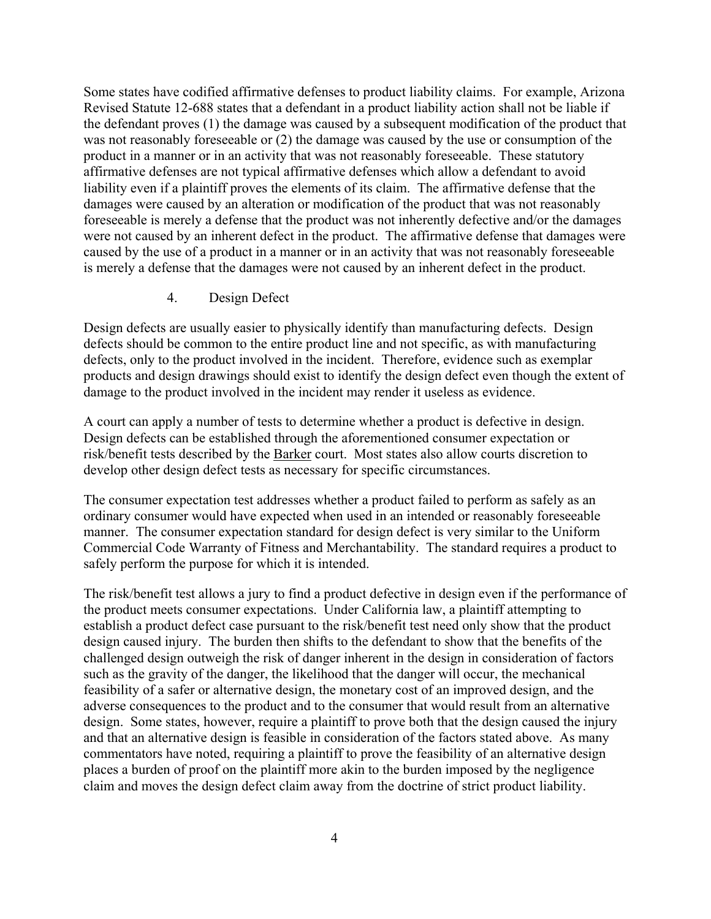Some states have codified affirmative defenses to product liability claims. For example, Arizona Revised Statute 12-688 states that a defendant in a product liability action shall not be liable if the defendant proves (1) the damage was caused by a subsequent modification of the product that was not reasonably foreseeable or (2) the damage was caused by the use or consumption of the product in a manner or in an activity that was not reasonably foreseeable. These statutory affirmative defenses are not typical affirmative defenses which allow a defendant to avoid liability even if a plaintiff proves the elements of its claim. The affirmative defense that the damages were caused by an alteration or modification of the product that was not reasonably foreseeable is merely a defense that the product was not inherently defective and/or the damages were not caused by an inherent defect in the product. The affirmative defense that damages were caused by the use of a product in a manner or in an activity that was not reasonably foreseeable is merely a defense that the damages were not caused by an inherent defect in the product.

## 4. Design Defect

Design defects are usually easier to physically identify than manufacturing defects. Design defects should be common to the entire product line and not specific, as with manufacturing defects, only to the product involved in the incident. Therefore, evidence such as exemplar products and design drawings should exist to identify the design defect even though the extent of damage to the product involved in the incident may render it useless as evidence.

A court can apply a number of tests to determine whether a product is defective in design. Design defects can be established through the aforementioned consumer expectation or risk/benefit tests described by the Barker court. Most states also allow courts discretion to develop other design defect tests as necessary for specific circumstances.

The consumer expectation test addresses whether a product failed to perform as safely as an ordinary consumer would have expected when used in an intended or reasonably foreseeable manner. The consumer expectation standard for design defect is very similar to the Uniform Commercial Code Warranty of Fitness and Merchantability. The standard requires a product to safely perform the purpose for which it is intended.

The risk/benefit test allows a jury to find a product defective in design even if the performance of the product meets consumer expectations. Under California law, a plaintiff attempting to establish a product defect case pursuant to the risk/benefit test need only show that the product design caused injury. The burden then shifts to the defendant to show that the benefits of the challenged design outweigh the risk of danger inherent in the design in consideration of factors such as the gravity of the danger, the likelihood that the danger will occur, the mechanical feasibility of a safer or alternative design, the monetary cost of an improved design, and the adverse consequences to the product and to the consumer that would result from an alternative design. Some states, however, require a plaintiff to prove both that the design caused the injury and that an alternative design is feasible in consideration of the factors stated above. As many commentators have noted, requiring a plaintiff to prove the feasibility of an alternative design places a burden of proof on the plaintiff more akin to the burden imposed by the negligence claim and moves the design defect claim away from the doctrine of strict product liability.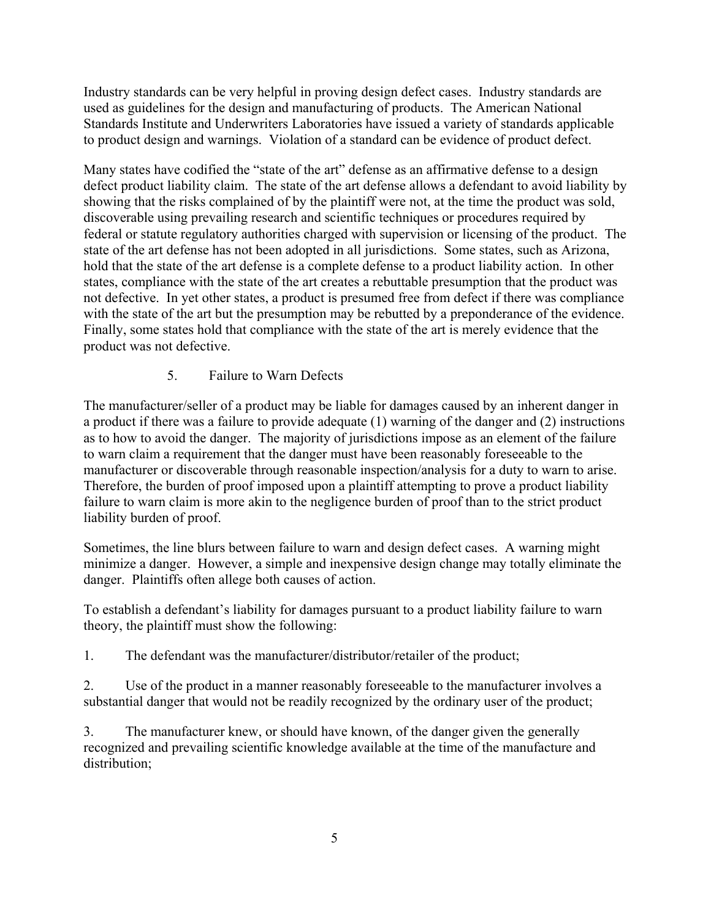Industry standards can be very helpful in proving design defect cases. Industry standards are used as guidelines for the design and manufacturing of products. The American National Standards Institute and Underwriters Laboratories have issued a variety of standards applicable to product design and warnings. Violation of a standard can be evidence of product defect.

Many states have codified the "state of the art" defense as an affirmative defense to a design defect product liability claim. The state of the art defense allows a defendant to avoid liability by showing that the risks complained of by the plaintiff were not, at the time the product was sold, discoverable using prevailing research and scientific techniques or procedures required by federal or statute regulatory authorities charged with supervision or licensing of the product. The state of the art defense has not been adopted in all jurisdictions. Some states, such as Arizona, hold that the state of the art defense is a complete defense to a product liability action. In other states, compliance with the state of the art creates a rebuttable presumption that the product was not defective. In yet other states, a product is presumed free from defect if there was compliance with the state of the art but the presumption may be rebutted by a preponderance of the evidence. Finally, some states hold that compliance with the state of the art is merely evidence that the product was not defective.

# 5. Failure to Warn Defects

The manufacturer/seller of a product may be liable for damages caused by an inherent danger in a product if there was a failure to provide adequate (1) warning of the danger and (2) instructions as to how to avoid the danger. The majority of jurisdictions impose as an element of the failure to warn claim a requirement that the danger must have been reasonably foreseeable to the manufacturer or discoverable through reasonable inspection/analysis for a duty to warn to arise. Therefore, the burden of proof imposed upon a plaintiff attempting to prove a product liability failure to warn claim is more akin to the negligence burden of proof than to the strict product liability burden of proof.

Sometimes, the line blurs between failure to warn and design defect cases. A warning might minimize a danger. However, a simple and inexpensive design change may totally eliminate the danger. Plaintiffs often allege both causes of action.

To establish a defendant's liability for damages pursuant to a product liability failure to warn theory, the plaintiff must show the following:

1. The defendant was the manufacturer/distributor/retailer of the product;

2. Use of the product in a manner reasonably foreseeable to the manufacturer involves a substantial danger that would not be readily recognized by the ordinary user of the product;

3. The manufacturer knew, or should have known, of the danger given the generally recognized and prevailing scientific knowledge available at the time of the manufacture and distribution;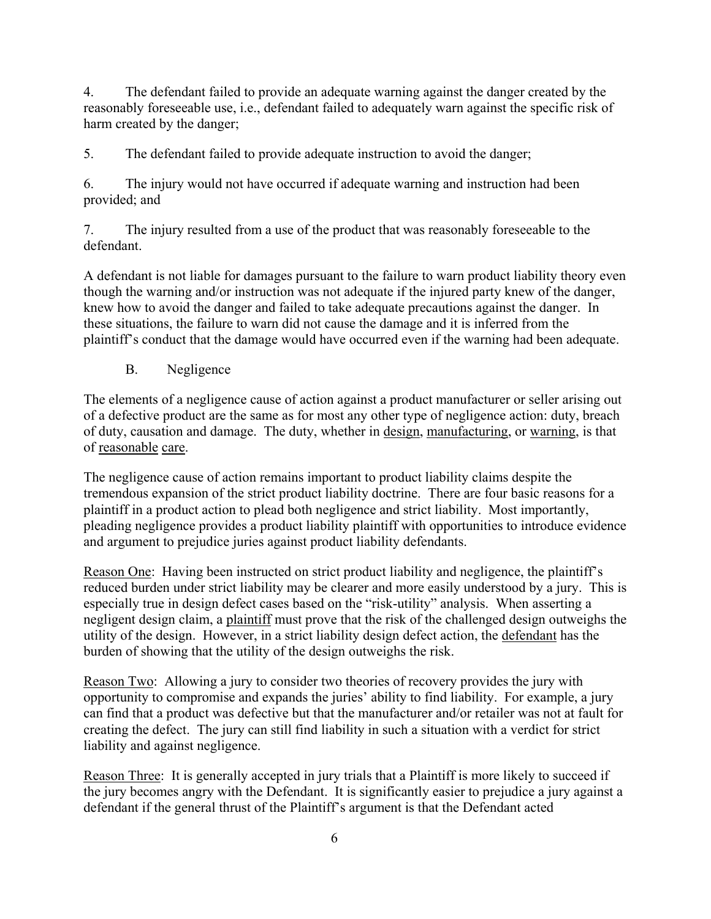4. The defendant failed to provide an adequate warning against the danger created by the reasonably foreseeable use, i.e., defendant failed to adequately warn against the specific risk of harm created by the danger;

5. The defendant failed to provide adequate instruction to avoid the danger;

6. The injury would not have occurred if adequate warning and instruction had been provided; and

7. The injury resulted from a use of the product that was reasonably foreseeable to the defendant.

A defendant is not liable for damages pursuant to the failure to warn product liability theory even though the warning and/or instruction was not adequate if the injured party knew of the danger, knew how to avoid the danger and failed to take adequate precautions against the danger. In these situations, the failure to warn did not cause the damage and it is inferred from the plaintiff's conduct that the damage would have occurred even if the warning had been adequate.

# B. Negligence

The elements of a negligence cause of action against a product manufacturer or seller arising out of a defective product are the same as for most any other type of negligence action: duty, breach of duty, causation and damage. The duty, whether in design, manufacturing, or warning, is that of reasonable care.

The negligence cause of action remains important to product liability claims despite the tremendous expansion of the strict product liability doctrine. There are four basic reasons for a plaintiff in a product action to plead both negligence and strict liability. Most importantly, pleading negligence provides a product liability plaintiff with opportunities to introduce evidence and argument to prejudice juries against product liability defendants.

Reason One: Having been instructed on strict product liability and negligence, the plaintiff's reduced burden under strict liability may be clearer and more easily understood by a jury. This is especially true in design defect cases based on the "risk-utility" analysis. When asserting a negligent design claim, a plaintiff must prove that the risk of the challenged design outweighs the utility of the design. However, in a strict liability design defect action, the defendant has the burden of showing that the utility of the design outweighs the risk.

Reason Two: Allowing a jury to consider two theories of recovery provides the jury with opportunity to compromise and expands the juries' ability to find liability. For example, a jury can find that a product was defective but that the manufacturer and/or retailer was not at fault for creating the defect. The jury can still find liability in such a situation with a verdict for strict liability and against negligence.

Reason Three: It is generally accepted in jury trials that a Plaintiff is more likely to succeed if the jury becomes angry with the Defendant. It is significantly easier to prejudice a jury against a defendant if the general thrust of the Plaintiff's argument is that the Defendant acted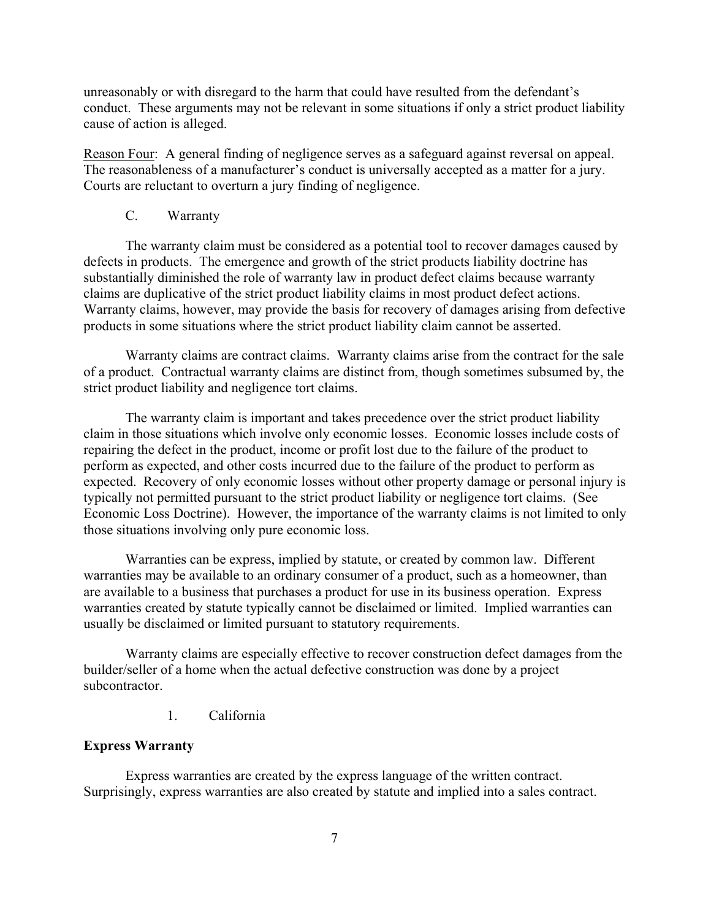unreasonably or with disregard to the harm that could have resulted from the defendant's conduct. These arguments may not be relevant in some situations if only a strict product liability cause of action is alleged.

Reason Four: A general finding of negligence serves as a safeguard against reversal on appeal. The reasonableness of a manufacturer's conduct is universally accepted as a matter for a jury. Courts are reluctant to overturn a jury finding of negligence.

# C. Warranty

The warranty claim must be considered as a potential tool to recover damages caused by defects in products. The emergence and growth of the strict products liability doctrine has substantially diminished the role of warranty law in product defect claims because warranty claims are duplicative of the strict product liability claims in most product defect actions. Warranty claims, however, may provide the basis for recovery of damages arising from defective products in some situations where the strict product liability claim cannot be asserted.

Warranty claims are contract claims. Warranty claims arise from the contract for the sale of a product. Contractual warranty claims are distinct from, though sometimes subsumed by, the strict product liability and negligence tort claims.

The warranty claim is important and takes precedence over the strict product liability claim in those situations which involve only economic losses. Economic losses include costs of repairing the defect in the product, income or profit lost due to the failure of the product to perform as expected, and other costs incurred due to the failure of the product to perform as expected. Recovery of only economic losses without other property damage or personal injury is typically not permitted pursuant to the strict product liability or negligence tort claims. (See Economic Loss Doctrine). However, the importance of the warranty claims is not limited to only those situations involving only pure economic loss.

Warranties can be express, implied by statute, or created by common law. Different warranties may be available to an ordinary consumer of a product, such as a homeowner, than are available to a business that purchases a product for use in its business operation. Express warranties created by statute typically cannot be disclaimed or limited. Implied warranties can usually be disclaimed or limited pursuant to statutory requirements.

Warranty claims are especially effective to recover construction defect damages from the builder/seller of a home when the actual defective construction was done by a project subcontractor.

1. California

# **Express Warranty**

Express warranties are created by the express language of the written contract. Surprisingly, express warranties are also created by statute and implied into a sales contract.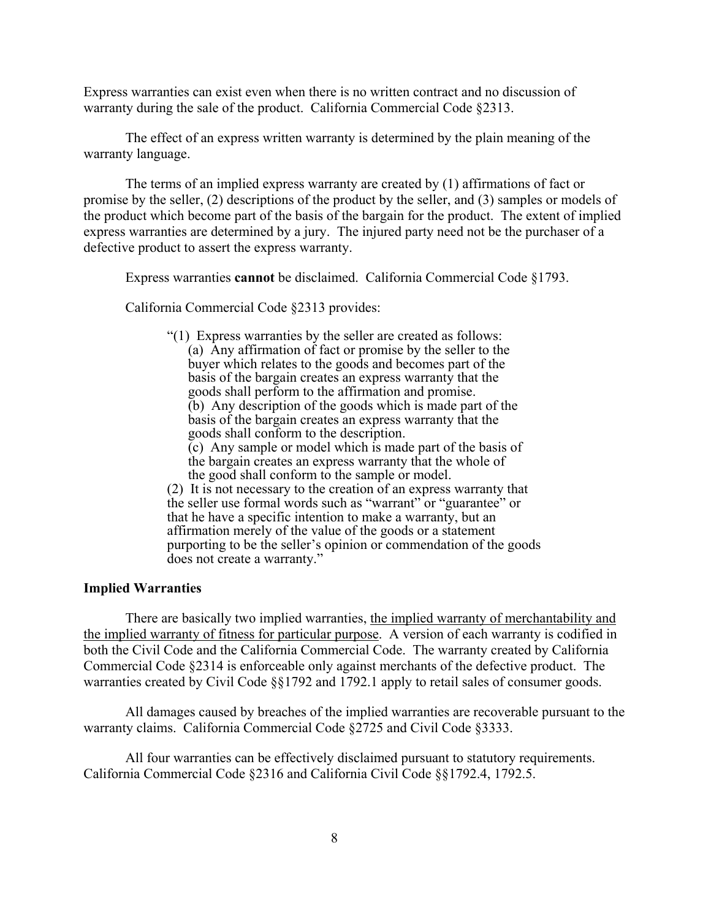Express warranties can exist even when there is no written contract and no discussion of warranty during the sale of the product. California Commercial Code §2313.

The effect of an express written warranty is determined by the plain meaning of the warranty language.

The terms of an implied express warranty are created by (1) affirmations of fact or promise by the seller, (2) descriptions of the product by the seller, and (3) samples or models of the product which become part of the basis of the bargain for the product. The extent of implied express warranties are determined by a jury. The injured party need not be the purchaser of a defective product to assert the express warranty.

Express warranties **cannot** be disclaimed. California Commercial Code §1793.

California Commercial Code §2313 provides:

- "(1) Express warranties by the seller are created as follows: (a) Any affirmation of fact or promise by the seller to the buyer which relates to the goods and becomes part of the basis of the bargain creates an express warranty that the goods shall perform to the affirmation and promise. (b) Any description of the goods which is made part of the basis of the bargain creates an express warranty that the goods shall conform to the description.
	- $(c)$  Any sample or model which is made part of the basis of the bargain creates an express warranty that the whole of the good shall conform to the sample or model.
- (2) It is not necessary to the creation of an express warranty that the seller use formal words such as "warrant" or "guarantee" or that he have a specific intention to make a warranty, but an affirmation merely of the value of the goods or a statement purporting to be the seller's opinion or commendation of the goods does not create a warranty."

### **Implied Warranties**

There are basically two implied warranties, the implied warranty of merchantability and the implied warranty of fitness for particular purpose. A version of each warranty is codified in both the Civil Code and the California Commercial Code. The warranty created by California Commercial Code §2314 is enforceable only against merchants of the defective product. The warranties created by Civil Code §§1792 and 1792.1 apply to retail sales of consumer goods.

All damages caused by breaches of the implied warranties are recoverable pursuant to the warranty claims. California Commercial Code §2725 and Civil Code §3333.

All four warranties can be effectively disclaimed pursuant to statutory requirements. California Commercial Code §2316 and California Civil Code §§1792.4, 1792.5.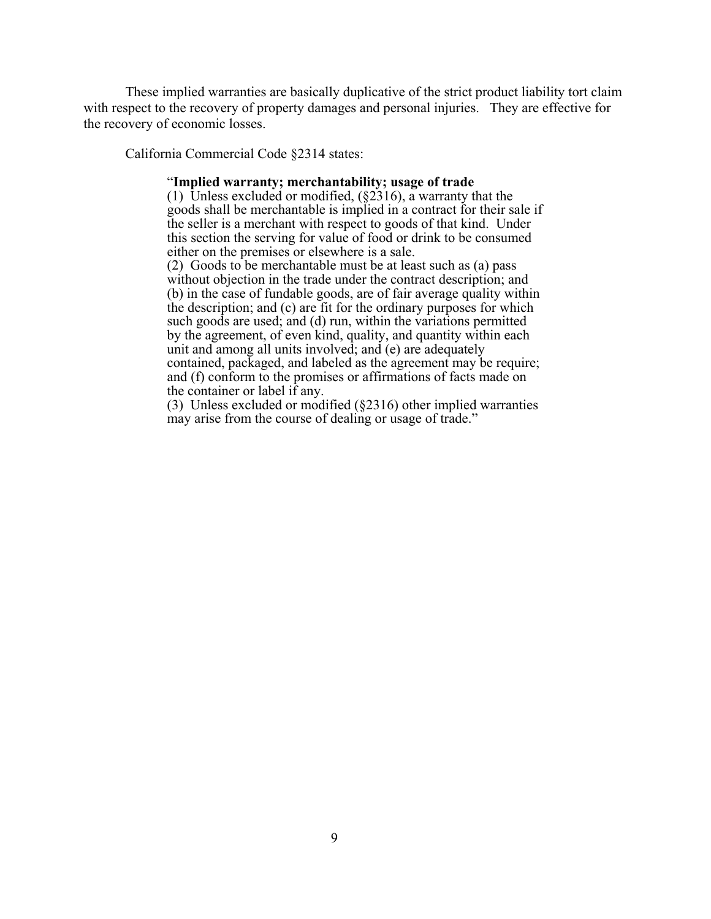These implied warranties are basically duplicative of the strict product liability tort claim with respect to the recovery of property damages and personal injuries. They are effective for the recovery of economic losses.

California Commercial Code §2314 states:

#### "**Implied warranty; merchantability; usage of trade**

(1) Unless excluded or modified,  $(\frac{2316}{9})$ , a warranty that the goods shall be merchantable is implied in a contract for their sale if the seller is a merchant with respect to goods of that kind. Under this section the serving for value of food or drink to be consumed either on the premises or elsewhere is a sale.

(2) Goods to be merchantable must be at least such as (a) pass without objection in the trade under the contract description; and (b) in the case of fundable goods, are of fair average quality within the description; and (c) are fit for the ordinary purposes for which such goods are used; and (d) run, within the variations permitted by the agreement, of even kind, quality, and quantity within each unit and among all units involved; and (e) are adequately contained, packaged, and labeled as the agreement may be require; and (f) conform to the promises or affirmations of facts made on the container or label if any.

(3) Unless excluded or modified (§2316) other implied warranties may arise from the course of dealing or usage of trade."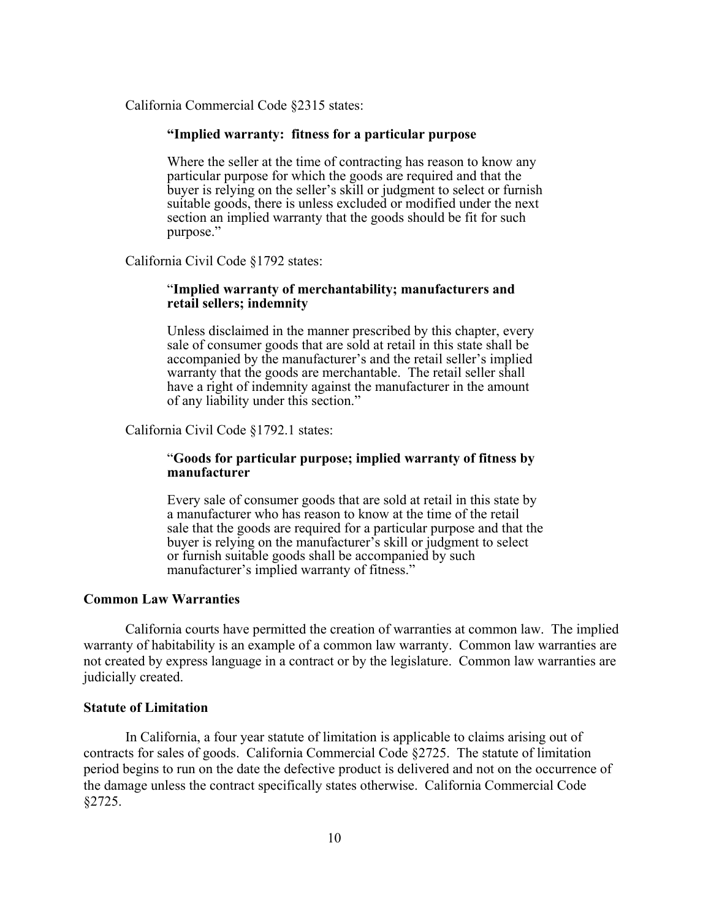California Commercial Code §2315 states:

#### **"Implied warranty: fitness for a particular purpose**

Where the seller at the time of contracting has reason to know any particular purpose for which the goods are required and that the buyer is relying on the seller's skill or judgment to select or furnish suitable goods, there is unless excluded or modified under the next section an implied warranty that the goods should be fit for such purpose."

California Civil Code §1792 states:

#### "**Implied warranty of merchantability; manufacturers and retail sellers; indemnity**

Unless disclaimed in the manner prescribed by this chapter, every sale of consumer goods that are sold at retail in this state shall be accompanied by the manufacturer's and the retail seller's implied warranty that the goods are merchantable. The retail seller shall have a right of indemnity against the manufacturer in the amount of any liability under this section."

California Civil Code §1792.1 states:

## "**Goods for particular purpose; implied warranty of fitness by manufacturer**

Every sale of consumer goods that are sold at retail in this state by a manufacturer who has reason to know at the time of the retail sale that the goods are required for a particular purpose and that the buyer is relying on the manufacturer's skill or judgment to select or furnish suitable goods shall be accompanied by such manufacturer's implied warranty of fitness."

#### **Common Law Warranties**

California courts have permitted the creation of warranties at common law. The implied warranty of habitability is an example of a common law warranty. Common law warranties are not created by express language in a contract or by the legislature. Common law warranties are judicially created.

## **Statute of Limitation**

In California, a four year statute of limitation is applicable to claims arising out of contracts for sales of goods. California Commercial Code §2725. The statute of limitation period begins to run on the date the defective product is delivered and not on the occurrence of the damage unless the contract specifically states otherwise. California Commercial Code §2725.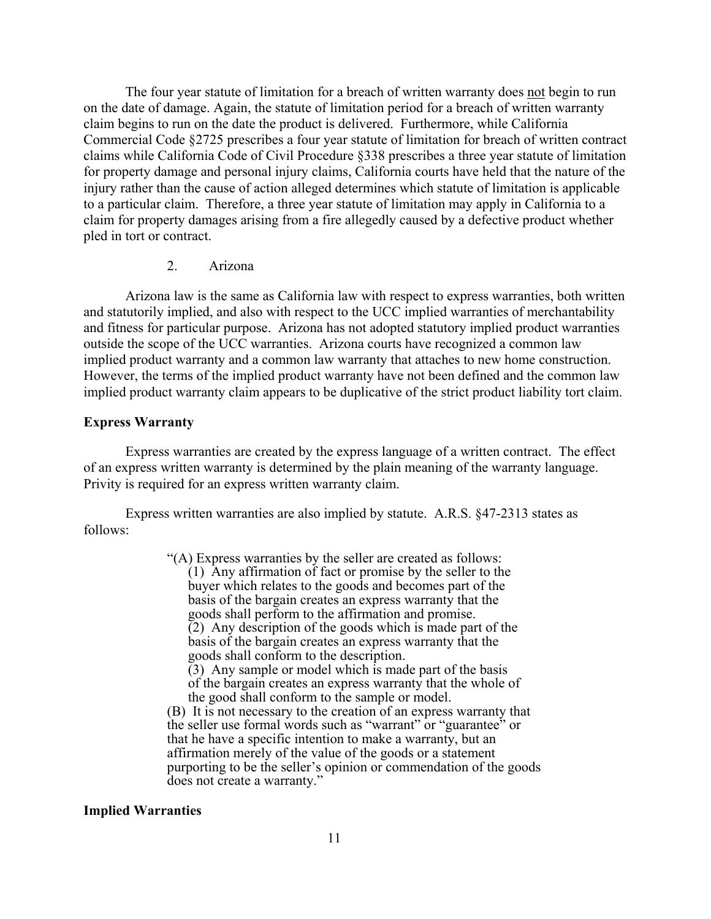The four year statute of limitation for a breach of written warranty does not begin to run on the date of damage. Again, the statute of limitation period for a breach of written warranty claim begins to run on the date the product is delivered. Furthermore, while California Commercial Code §2725 prescribes a four year statute of limitation for breach of written contract claims while California Code of Civil Procedure §338 prescribes a three year statute of limitation for property damage and personal injury claims, California courts have held that the nature of the injury rather than the cause of action alleged determines which statute of limitation is applicable to a particular claim. Therefore, a three year statute of limitation may apply in California to a claim for property damages arising from a fire allegedly caused by a defective product whether pled in tort or contract.

### 2. Arizona

Arizona law is the same as California law with respect to express warranties, both written and statutorily implied, and also with respect to the UCC implied warranties of merchantability and fitness for particular purpose. Arizona has not adopted statutory implied product warranties outside the scope of the UCC warranties. Arizona courts have recognized a common law implied product warranty and a common law warranty that attaches to new home construction. However, the terms of the implied product warranty have not been defined and the common law implied product warranty claim appears to be duplicative of the strict product liability tort claim.

## **Express Warranty**

Express warranties are created by the express language of a written contract. The effect of an express written warranty is determined by the plain meaning of the warranty language. Privity is required for an express written warranty claim.

Express written warranties are also implied by statute. A.R.S. §47-2313 states as follows:

> "(A) Express warranties by the seller are created as follows: (1) Any affirmation of fact or promise by the seller to the buyer which relates to the goods and becomes part of the basis of the bargain creates an express warranty that the goods shall perform to the affirmation and promise.  $(2)$  Any description of the goods which is made part of the basis of the bargain creates an express warranty that the goods shall conform to the description.

 $(3)$  Any sample or model which is made part of the basis of the bargain creates an express warranty that the whole of the good shall conform to the sample or model.

(B) It is not necessary to the creation of an express warranty that the seller use formal words such as "warrant" or "guarantee" or that he have a specific intention to make a warranty, but an affirmation merely of the value of the goods or a statement purporting to be the seller's opinion or commendation of the goods does not create a warranty."

#### **Implied Warranties**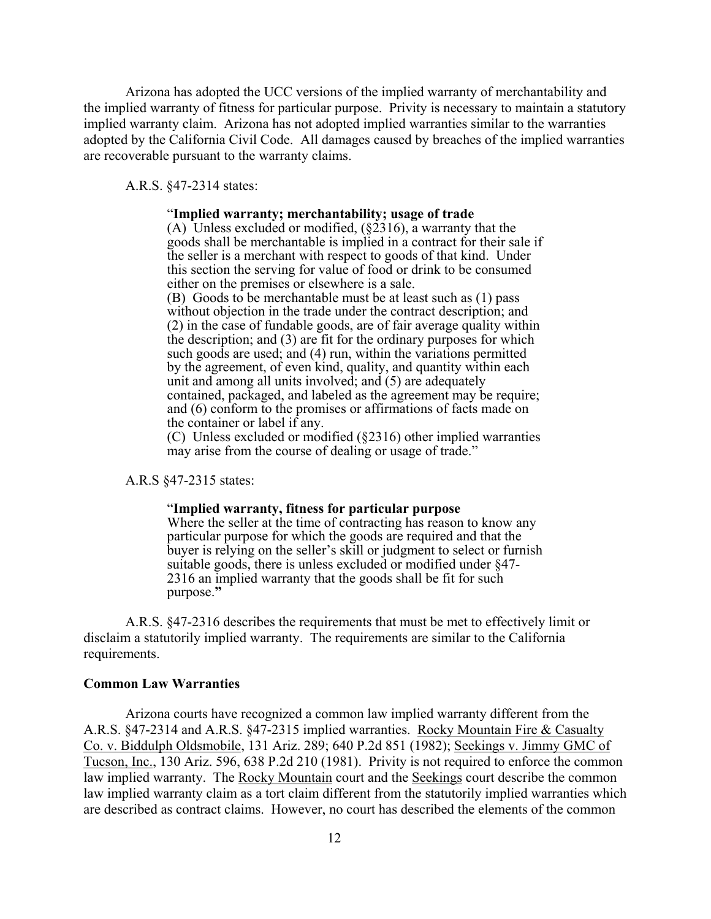Arizona has adopted the UCC versions of the implied warranty of merchantability and the implied warranty of fitness for particular purpose. Privity is necessary to maintain a statutory implied warranty claim. Arizona has not adopted implied warranties similar to the warranties adopted by the California Civil Code. All damages caused by breaches of the implied warranties are recoverable pursuant to the warranty claims.

A.R.S. §47-2314 states:

## "**Implied warranty; merchantability; usage of trade**

(A) Unless excluded or modified, (§2316), a warranty that the goods shall be merchantable is implied in a contract for their sale if the seller is a merchant with respect to goods of that kind. Under this section the serving for value of food or drink to be consumed either on the premises or elsewhere is a sale.

(B) Goods to be merchantable must be at least such as (1) pass without objection in the trade under the contract description; and (2) in the case of fundable goods, are of fair average quality within the description; and (3) are fit for the ordinary purposes for which such goods are used; and (4) run, within the variations permitted by the agreement, of even kind, quality, and quantity within each unit and among all units involved; and (5) are adequately contained, packaged, and labeled as the agreement may be require; and (6) conform to the promises or affirmations of facts made on the container or label if any.

(C) Unless excluded or modified (§2316) other implied warranties may arise from the course of dealing or usage of trade."

A.R.S §47-2315 states:

#### "**Implied warranty, fitness for particular purpose**

Where the seller at the time of contracting has reason to know any particular purpose for which the goods are required and that the buyer is relying on the seller's skill or judgment to select or furnish suitable goods, there is unless excluded or modified under §47- 2316 an implied warranty that the goods shall be fit for such purpose.**"**

A.R.S. §47-2316 describes the requirements that must be met to effectively limit or disclaim a statutorily implied warranty. The requirements are similar to the California requirements.

#### **Common Law Warranties**

Arizona courts have recognized a common law implied warranty different from the A.R.S. §47-2314 and A.R.S. §47-2315 implied warranties. Rocky Mountain Fire & Casualty Co. v. Biddulph Oldsmobile, 131 Ariz. 289; 640 P.2d 851 (1982); Seekings v. Jimmy GMC of Tucson, Inc., 130 Ariz. 596, 638 P.2d 210 (1981). Privity is not required to enforce the common law implied warranty. The Rocky Mountain court and the Seekings court describe the common law implied warranty claim as a tort claim different from the statutorily implied warranties which are described as contract claims. However, no court has described the elements of the common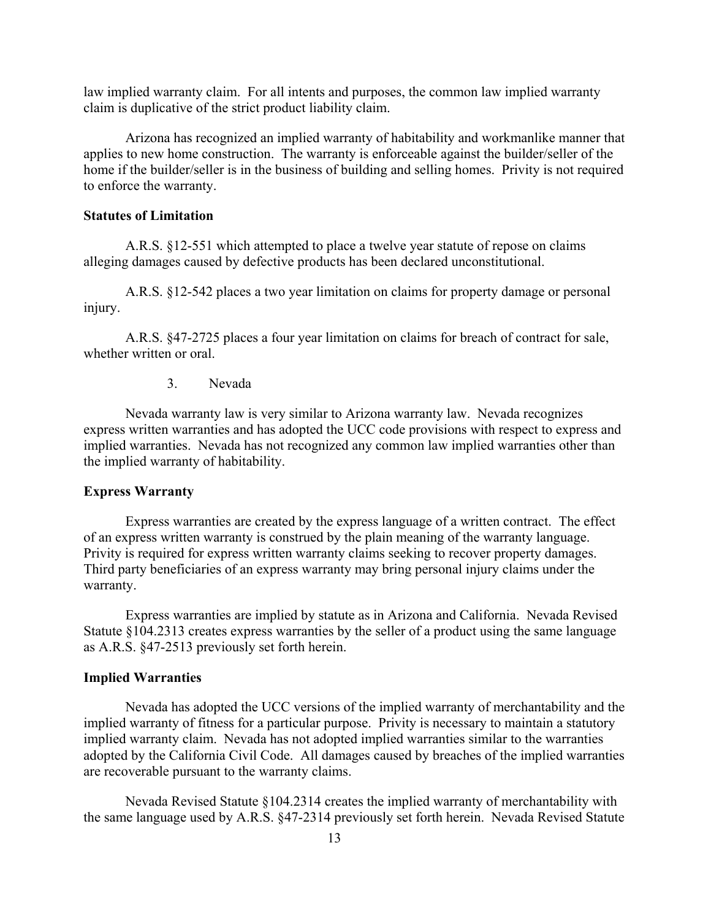law implied warranty claim. For all intents and purposes, the common law implied warranty claim is duplicative of the strict product liability claim.

Arizona has recognized an implied warranty of habitability and workmanlike manner that applies to new home construction. The warranty is enforceable against the builder/seller of the home if the builder/seller is in the business of building and selling homes. Privity is not required to enforce the warranty.

### **Statutes of Limitation**

A.R.S. §12-551 which attempted to place a twelve year statute of repose on claims alleging damages caused by defective products has been declared unconstitutional.

A.R.S. §12-542 places a two year limitation on claims for property damage or personal injury.

A.R.S. §47-2725 places a four year limitation on claims for breach of contract for sale, whether written or oral.

3. Nevada

Nevada warranty law is very similar to Arizona warranty law. Nevada recognizes express written warranties and has adopted the UCC code provisions with respect to express and implied warranties. Nevada has not recognized any common law implied warranties other than the implied warranty of habitability.

## **Express Warranty**

Express warranties are created by the express language of a written contract. The effect of an express written warranty is construed by the plain meaning of the warranty language. Privity is required for express written warranty claims seeking to recover property damages. Third party beneficiaries of an express warranty may bring personal injury claims under the warranty.

Express warranties are implied by statute as in Arizona and California. Nevada Revised Statute §104.2313 creates express warranties by the seller of a product using the same language as A.R.S. §47-2513 previously set forth herein.

#### **Implied Warranties**

Nevada has adopted the UCC versions of the implied warranty of merchantability and the implied warranty of fitness for a particular purpose. Privity is necessary to maintain a statutory implied warranty claim. Nevada has not adopted implied warranties similar to the warranties adopted by the California Civil Code. All damages caused by breaches of the implied warranties are recoverable pursuant to the warranty claims.

Nevada Revised Statute §104.2314 creates the implied warranty of merchantability with the same language used by A.R.S. §47-2314 previously set forth herein. Nevada Revised Statute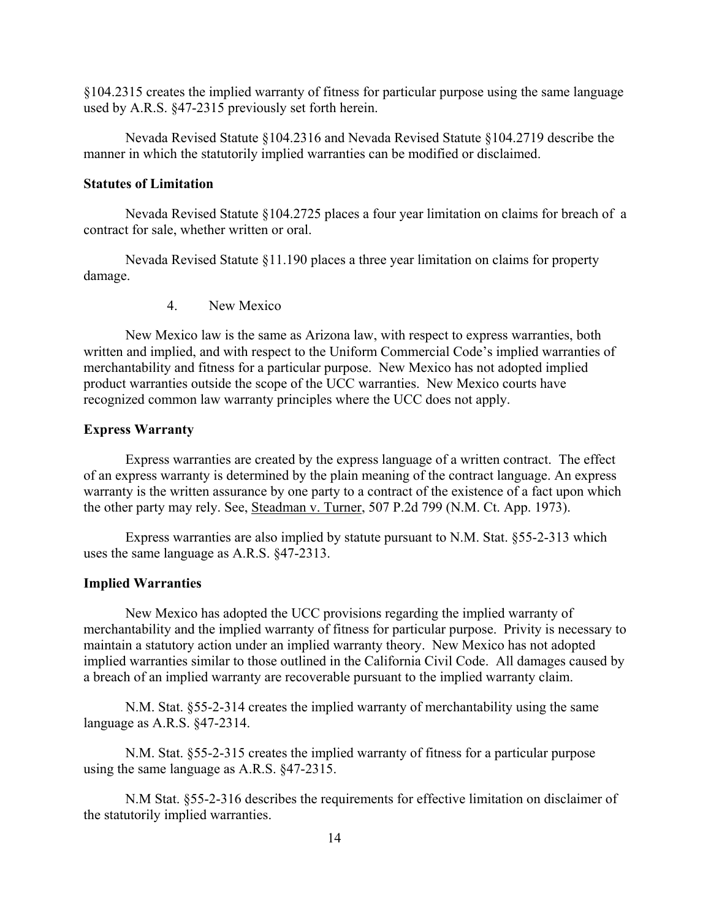§104.2315 creates the implied warranty of fitness for particular purpose using the same language used by A.R.S. §47-2315 previously set forth herein.

Nevada Revised Statute §104.2316 and Nevada Revised Statute §104.2719 describe the manner in which the statutorily implied warranties can be modified or disclaimed.

#### **Statutes of Limitation**

Nevada Revised Statute §104.2725 places a four year limitation on claims for breach of a contract for sale, whether written or oral.

Nevada Revised Statute §11.190 places a three year limitation on claims for property damage.

4. New Mexico

New Mexico law is the same as Arizona law, with respect to express warranties, both written and implied, and with respect to the Uniform Commercial Code's implied warranties of merchantability and fitness for a particular purpose. New Mexico has not adopted implied product warranties outside the scope of the UCC warranties. New Mexico courts have recognized common law warranty principles where the UCC does not apply.

## **Express Warranty**

Express warranties are created by the express language of a written contract. The effect of an express warranty is determined by the plain meaning of the contract language. An express warranty is the written assurance by one party to a contract of the existence of a fact upon which the other party may rely. See, Steadman v. Turner, 507 P.2d 799 (N.M. Ct. App. 1973).

Express warranties are also implied by statute pursuant to N.M. Stat. §55-2-313 which uses the same language as A.R.S. §47-2313.

#### **Implied Warranties**

New Mexico has adopted the UCC provisions regarding the implied warranty of merchantability and the implied warranty of fitness for particular purpose. Privity is necessary to maintain a statutory action under an implied warranty theory. New Mexico has not adopted implied warranties similar to those outlined in the California Civil Code. All damages caused by a breach of an implied warranty are recoverable pursuant to the implied warranty claim.

N.M. Stat. §55-2-314 creates the implied warranty of merchantability using the same language as A.R.S. §47-2314.

N.M. Stat. §55-2-315 creates the implied warranty of fitness for a particular purpose using the same language as A.R.S. §47-2315.

N.M Stat. §55-2-316 describes the requirements for effective limitation on disclaimer of the statutorily implied warranties.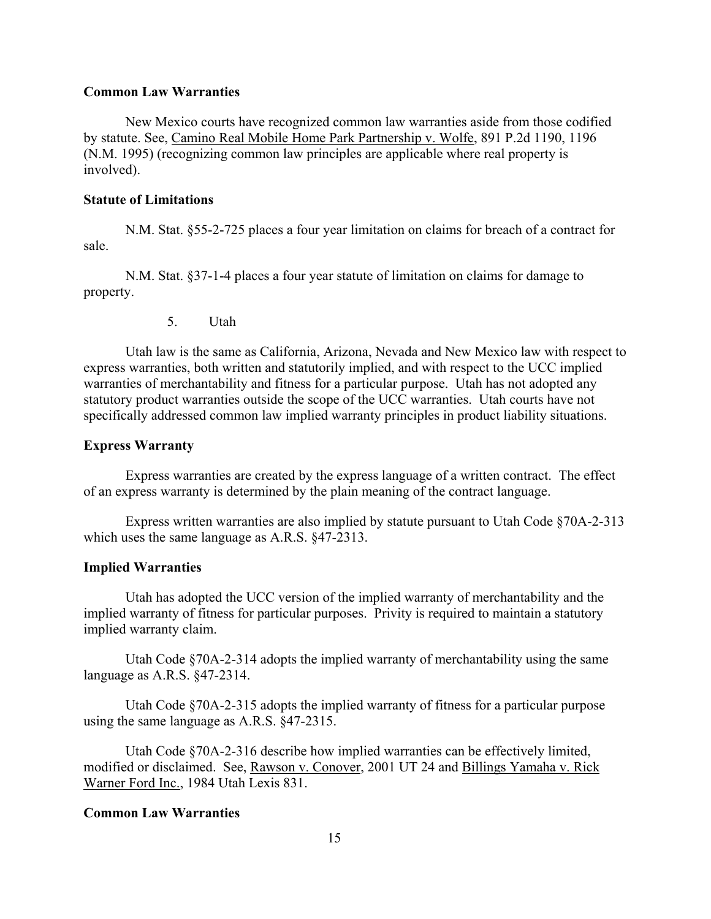## **Common Law Warranties**

New Mexico courts have recognized common law warranties aside from those codified by statute. See, Camino Real Mobile Home Park Partnership v. Wolfe, 891 P.2d 1190, 1196 (N.M. 1995) (recognizing common law principles are applicable where real property is involved).

## **Statute of Limitations**

N.M. Stat. §55-2-725 places a four year limitation on claims for breach of a contract for sale.

N.M. Stat. §37-1-4 places a four year statute of limitation on claims for damage to property.

5. Utah

Utah law is the same as California, Arizona, Nevada and New Mexico law with respect to express warranties, both written and statutorily implied, and with respect to the UCC implied warranties of merchantability and fitness for a particular purpose. Utah has not adopted any statutory product warranties outside the scope of the UCC warranties. Utah courts have not specifically addressed common law implied warranty principles in product liability situations.

## **Express Warranty**

Express warranties are created by the express language of a written contract. The effect of an express warranty is determined by the plain meaning of the contract language.

Express written warranties are also implied by statute pursuant to Utah Code §70A-2-313 which uses the same language as A.R.S. §47-2313.

#### **Implied Warranties**

Utah has adopted the UCC version of the implied warranty of merchantability and the implied warranty of fitness for particular purposes. Privity is required to maintain a statutory implied warranty claim.

Utah Code §70A-2-314 adopts the implied warranty of merchantability using the same language as A.R.S. §47-2314.

Utah Code §70A-2-315 adopts the implied warranty of fitness for a particular purpose using the same language as A.R.S. §47-2315.

Utah Code §70A-2-316 describe how implied warranties can be effectively limited, modified or disclaimed. See, Rawson v. Conover, 2001 UT 24 and Billings Yamaha v. Rick Warner Ford Inc., 1984 Utah Lexis 831.

## **Common Law Warranties**